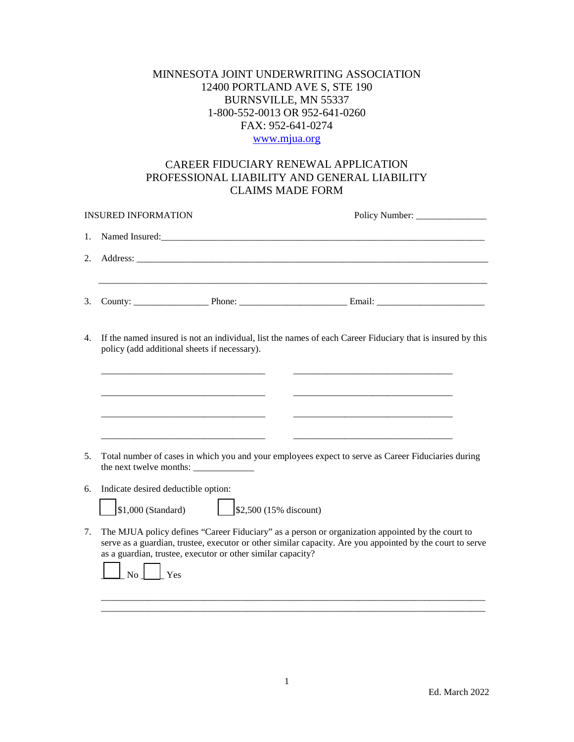## MINNESOTA JOINT UNDERWRITING ASSOCIATION 12400 PORTLAND AVE S, STE 190 BURNSVILLE, MN 55337 1-800-552-0013 OR 952-641-0260 FAX: 952-641-0274 [www.mjua.org](http://www.mjua.org/)

## CAREER FIDUCIARY RENEWAL APPLICATION PROFESSIONAL LIABILITY AND GENERAL LIABILITY CLAIMS MADE FORM

| <b>INSURED INFORMATION</b>                                                                                                                                       |                                                                                                                                                                                                                                                                                                                |                                                             |  |  |
|------------------------------------------------------------------------------------------------------------------------------------------------------------------|----------------------------------------------------------------------------------------------------------------------------------------------------------------------------------------------------------------------------------------------------------------------------------------------------------------|-------------------------------------------------------------|--|--|
| 1.                                                                                                                                                               |                                                                                                                                                                                                                                                                                                                |                                                             |  |  |
| 2.                                                                                                                                                               |                                                                                                                                                                                                                                                                                                                |                                                             |  |  |
|                                                                                                                                                                  |                                                                                                                                                                                                                                                                                                                |                                                             |  |  |
| 3.                                                                                                                                                               |                                                                                                                                                                                                                                                                                                                |                                                             |  |  |
| If the named insured is not an individual, list the names of each Career Fiduciary that is insured by this<br>4.<br>policy (add additional sheets if necessary). |                                                                                                                                                                                                                                                                                                                |                                                             |  |  |
|                                                                                                                                                                  |                                                                                                                                                                                                                                                                                                                |                                                             |  |  |
|                                                                                                                                                                  |                                                                                                                                                                                                                                                                                                                | <u> 1980 - Johann Barbara, martxa al III-lea (h. 1980).</u> |  |  |
|                                                                                                                                                                  |                                                                                                                                                                                                                                                                                                                |                                                             |  |  |
| 5.                                                                                                                                                               | Total number of cases in which you and your employees expect to serve as Career Fiduciaries during                                                                                                                                                                                                             |                                                             |  |  |
| 6.                                                                                                                                                               | Indicate desired deductible option:                                                                                                                                                                                                                                                                            |                                                             |  |  |
|                                                                                                                                                                  | $\frac{1}{2}$ \$2,500 (15% discount)<br>$$1,000$ (Standard)                                                                                                                                                                                                                                                    |                                                             |  |  |
| 7.                                                                                                                                                               | The MJUA policy defines "Career Fiduciary" as a person or organization appointed by the court to<br>serve as a guardian, trustee, executor or other similar capacity. Are you appointed by the court to serve<br>as a guardian, trustee, executor or other similar capacity?<br>$\mathbf{y}_{\text{es}}$<br>No |                                                             |  |  |
|                                                                                                                                                                  |                                                                                                                                                                                                                                                                                                                |                                                             |  |  |